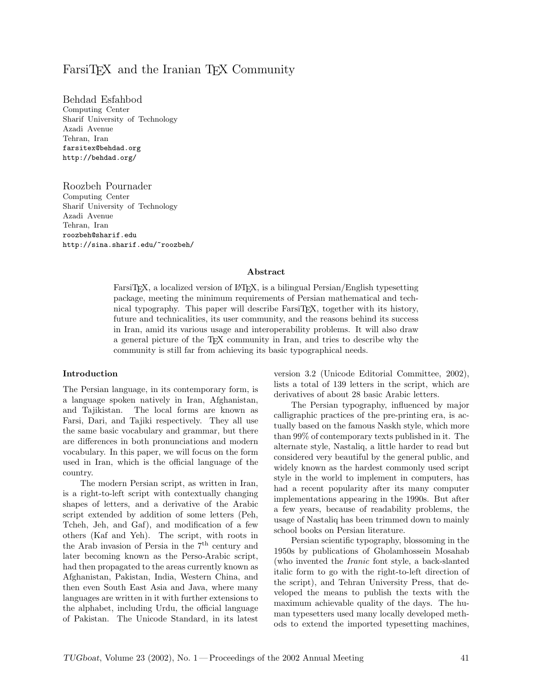# FarsiT<sub>EX</sub> and the Iranian T<sub>EX</sub> Community

Behdad Esfahbod Computing Center Sharif University of Technology Azadi Avenue Tehran, Iran farsitex@behdad.org http://behdad.org/

Roozbeh Pournader Computing Center Sharif University of Technology Azadi Avenue Tehran, Iran roozbeh@sharif.edu http://sina.sharif.edu/~roozbeh/

### Abstract

FarsiT<sub>EX</sub>, a localized version of LAT<sub>EX</sub>, is a bilingual Persian/English typesetting package, meeting the minimum requirements of Persian mathematical and technical typography. This paper will describe FarsiTEX, together with its history, future and technicalities, its user community, and the reasons behind its success in Iran, amid its various usage and interoperability problems. It will also draw a general picture of the TEX community in Iran, and tries to describe why the community is still far from achieving its basic typographical needs.

#### Introduction

The Persian language, in its contemporary form, is a language spoken natively in Iran, Afghanistan, and Tajikistan. The local forms are known as Farsi, Dari, and Tajiki respectively. They all use the same basic vocabulary and grammar, but there are differences in both pronunciations and modern vocabulary. In this paper, we will focus on the form used in Iran, which is the official language of the country.

The modern Persian script, as written in Iran, is a right-to-left script with contextually changing shapes of letters, and a derivative of the Arabic script extended by addition of some letters (Peh, Tcheh, Jeh, and Gaf), and modification of a few others (Kaf and Yeh). The script, with roots in the Arab invasion of Persia in the  $7<sup>th</sup>$  century and later becoming known as the Perso-Arabic script, had then propagated to the areas currently known as Afghanistan, Pakistan, India, Western China, and then even South East Asia and Java, where many languages are written in it with further extensions to the alphabet, including Urdu, the official language of Pakistan. The Unicode Standard, in its latest version 3.2 (Unicode Editorial Committee, 2002), lists a total of 139 letters in the script, which are derivatives of about 28 basic Arabic letters.

The Persian typography, influenced by major calligraphic practices of the pre-printing era, is actually based on the famous Naskh style, which more than 99% of contemporary texts published in it. The alternate style, Nastaliq, a little harder to read but considered very beautiful by the general public, and widely known as the hardest commonly used script style in the world to implement in computers, has had a recent popularity after its many computer implementations appearing in the 1990s. But after a few years, because of readability problems, the usage of Nastaliq has been trimmed down to mainly school books on Persian literature.

Persian scientific typography, blossoming in the 1950s by publications of Gholamhossein Mosahab (who invented the Iranic font style, a back-slanted italic form to go with the right-to-left direction of the script), and Tehran University Press, that developed the means to publish the texts with the maximum achievable quality of the days. The human typesetters used many locally developed methods to extend the imported typesetting machines,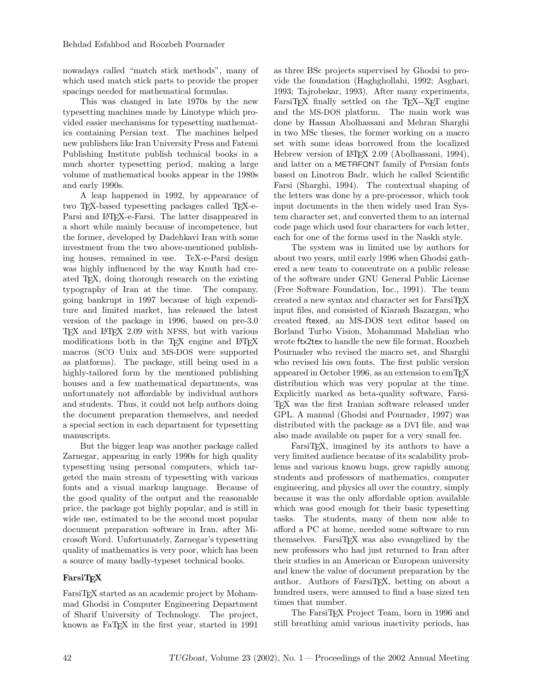nowadays called "match stick methods", many of which used match stick parts to provide the proper spacings needed for mathematical formulas.

This was changed in late 1970s by the new typesetting machines made by Linotype which provided easier mechanisms for typesetting mathematics containing Persian text. The machines helped new publishers like Iran University Press and Fatemi Publishing Institute publish technical books in a much shorter typesetting period, making a large volume of mathematical books appear in the 1980s and early 1990s.

A leap happened in 1992, by appearance of two T<sub>EX</sub>-based typesetting packages called T<sub>EX</sub>-e-Parsi and IAT<sub>E</sub>X-e-Farsi. The latter disappeared in a short while mainly because of incompetence, but the former, developed by Dadehkavi Iran with some investment from the two above-mentioned publishing houses, remained in use. TeX-e-Parsi design was highly influenced by the way Knuth had created TEX, doing thorough research on the existing typography of Iran at the time. The company, going bankrupt in 1997 because of high expenditure and limited market, has released the latest version of the package in 1996, based on pre-3.0 TEX and LATEX 2.09 with NFSS, but with various modifications both in the TFX engine and LATFX macros (SCO Unix and MS-DOS were supported as platforms). The package, still being used in a highly-tailored form by the mentioned publishing houses and a few mathematical departments, was unfortunately not affordable by individual authors and students. Thus, it could not help authors doing the document preparation themselves, and needed a special section in each department for typesetting manuscripts.

But the bigger leap was another package called Zarnegar, appearing in early 1990s for high quality typesetting using personal computers, which targeted the main stream of typesetting with various fonts and a visual markup language. Because of the good quality of the output and the reasonable price, the package got highly popular, and is still in wide use, estimated to be the second most popular document preparation software in Iran, after Microsoft Word. Unfortunately, Zarnegar's typesetting quality of mathematics is very poor, which has been a source of many badly-typeset technical books.

# FarsiT<sub>F</sub>X

FarsiT<sub>EX</sub> started as an academic project by Mohammad Ghodsi in Computer Engineering Department of Sharif University of Technology. The project, known as FaTEX in the first year, started in 1991 as three BSc projects supervised by Ghodsi to provide the foundation (Haghghollahi, 1992; Asghari, 1993; Tajrobekar, 1993). After many experiments, FarsiTEX finally settled on the TEX--XET engine and the MS-DOS platform. The main work was done by Hassan Abolhassani and Mehran Sharghi in two MSc theses, the former working on a macro set with some ideas borrowed from the localized Hebrew version of L<sup>AT</sup>FX 2.09 (Abolhassani, 1994), and latter on a METAFONT family of Persian fonts based on Linotron Badr, which he called Scientific Farsi (Sharghi, 1994). The contextual shaping of the letters was done by a pre-processor, which took input documents in the then widely used Iran System character set, and converted them to an internal code page which used four characters for each letter, each for one of the forms used in the Naskh style.

The system was in limited use by authors for about two years, until early 1996 when Ghodsi gathered a new team to concentrate on a public release of the software under GNU General Public License (Free Software Foundation, Inc., 1991). The team created a new syntax and character set for FarsiTEX input files, and consisted of Kiarash Bazargan, who created ftexed, an MS-DOS text editor based on Borland Turbo Vision, Mohammad Mahdian who wrote ftx2tex to handle the new file format, Roozbeh Pournader who revised the macro set, and Sharghi who revised his own fonts. The first public version appeared in October 1996, as an extension to emTFX distribution which was very popular at the time. Explicitly marked as beta-quality software, Farsi-TEX was the first Iranian software released under GPL. A manual (Ghodsi and Pournader, 1997) was distributed with the package as a DVI file, and was also made available on paper for a very small fee.

FarsiTEX, imagined by its authors to have a very limited audience because of its scalability problems and various known bugs, grew rapidly among students and professors of mathematics, computer engineering, and physics all over the country, simply because it was the only affordable option available which was good enough for their basic typesetting tasks. The students, many of them now able to afford a PC at home, needed some software to run themselves. FarsiTEX was also evangelized by the new professors who had just returned to Iran after their studies in an American or European university and knew the value of document preparation by the author. Authors of FarsiT<sub>F</sub>X, betting on about a hundred users, were amused to find a base sized ten times that number.

The FarsiT<sub>F</sub>X Project Team, born in 1996 and still breathing amid various inactivity periods, has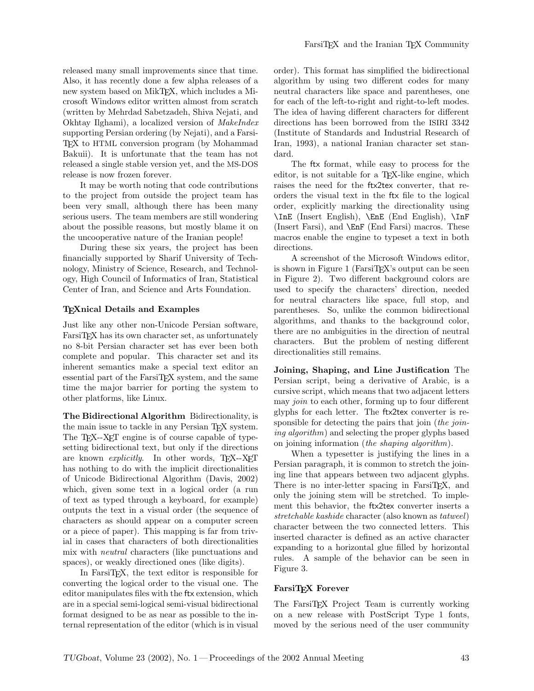released many small improvements since that time. Also, it has recently done a few alpha releases of a new system based on MikTEX, which includes a Microsoft Windows editor written almost from scratch (written by Mehrdad Sabetzadeh, Shiva Nejati, and Okhtay Ilghami), a localized version of *MakeIndex* supporting Persian ordering (by Nejati), and a Farsi-TEX to HTML conversion program (by Mohammad Bakuii). It is unfortunate that the team has not released a single stable version yet, and the MS-DOS release is now frozen forever.

It may be worth noting that code contributions to the project from outside the project team has been very small, although there has been many serious users. The team members are still wondering about the possible reasons, but mostly blame it on the uncooperative nature of the Iranian people!

During these six years, the project has been financially supported by Sharif University of Technology, Ministry of Science, Research, and Technology, High Council of Informatics of Iran, Statistical Center of Iran, and Science and Arts Foundation.

# TEXnical Details and Examples

Just like any other non-Unicode Persian software, FarsiTEX has its own character set, as unfortunately no 8-bit Persian character set has ever been both complete and popular. This character set and its inherent semantics make a special text editor an essential part of the FarsiTEX system, and the same time the major barrier for porting the system to other platforms, like Linux.

The Bidirectional Algorithm Bidirectionality, is the main issue to tackle in any Persian TEX system. The T<sub>EX</sub>--X<sub>E</sub>T engine is of course capable of typesetting bidirectional text, but only if the directions are known *explicitly*. In other words, T<sub>E</sub>X--X<sub>E</sub>T has nothing to do with the implicit directionalities of Unicode Bidirectional Algorithm (Davis, 2002) which, given some text in a logical order (a run of text as typed through a keyboard, for example) outputs the text in a visual order (the sequence of characters as should appear on a computer screen or a piece of paper). This mapping is far from trivial in cases that characters of both directionalities mix with neutral characters (like punctuations and spaces), or weakly directioned ones (like digits).

In FarsiTEX, the text editor is responsible for converting the logical order to the visual one. The editor manipulates files with the ftx extension, which are in a special semi-logical semi-visual bidirectional format designed to be as near as possible to the internal representation of the editor (which is in visual order). This format has simplified the bidirectional algorithm by using two different codes for many neutral characters like space and parentheses, one for each of the left-to-right and right-to-left modes. The idea of having different characters for different directions has been borrowed from the ISIRI 3342 (Institute of Standards and Industrial Research of Iran, 1993), a national Iranian character set standard.

The ftx format, while easy to process for the editor, is not suitable for a TEX-like engine, which raises the need for the ftx2tex converter, that reorders the visual text in the ftx file to the logical order, explicitly marking the directionality using \InE (Insert English), \EnE (End English), \InF (Insert Farsi), and \EnF (End Farsi) macros. These macros enable the engine to typeset a text in both directions.

A screenshot of the Microsoft Windows editor, is shown in Figure 1 (FarsiTEX's output can be seen in Figure 2). Two different background colors are used to specify the characters' direction, needed for neutral characters like space, full stop, and parentheses. So, unlike the common bidirectional algorithms, and thanks to the background color, there are no ambiguities in the direction of neutral characters. But the problem of nesting different directionalities still remains.

Joining, Shaping, and Line Justification The Persian script, being a derivative of Arabic, is a cursive script, which means that two adjacent letters may join to each other, forming up to four different glyphs for each letter. The ftx2tex converter is responsible for detecting the pairs that join (the joining algorithm) and selecting the proper glyphs based on joining information *(the shaping algorithm)*.

When a typesetter is justifying the lines in a Persian paragraph, it is common to stretch the joining line that appears between two adjacent glyphs. There is no inter-letter spacing in FarsiT<sub>EX</sub>, and only the joining stem will be stretched. To implement this behavior, the ftx2tex converter inserts a stretchable kashide character (also known as tatweel) character between the two connected letters. This inserted character is defined as an active character expanding to a horizontal glue filled by horizontal rules. A sample of the behavior can be seen in Figure 3.

### FarsiTEX Forever

The FarsiTEX Project Team is currently working on a new release with PostScript Type 1 fonts, moved by the serious need of the user community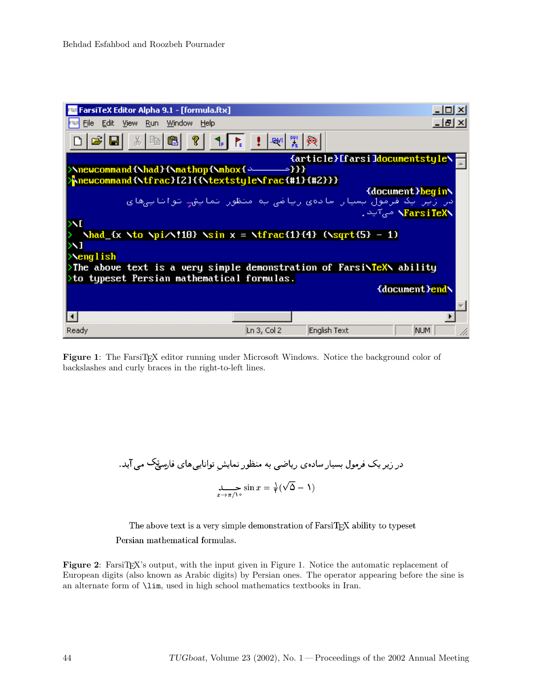| FarsiTeX Editor Alpha 9.1 - [formula.ftx]                                                                                                                       |                       |                                | – I⊡I ×I          |
|-----------------------------------------------------------------------------------------------------------------------------------------------------------------|-----------------------|--------------------------------|-------------------|
| <b>F<sup>rax</sup> Eile Edit View Run Window Help</b>                                                                                                           |                       |                                | - 레지              |
| ?<br>q<br>酯                                                                                                                                                     | <b>JPVI</b>           | 쀭<br>ထ                         |                   |
|                                                                                                                                                                 |                       | {article}[farsi]documentstyle\ |                   |
| \newcommand{\had}{\mathop{\mbox{ ~ _ _ _ ~ }}}<br>hnewcommand{\tfrac}[2]{{\textstyle\frac{#1}{#2}}}                                                             |                       |                                |                   |
|                                                                                                                                                                 |                       |                                | {document}begin\  |
| در زیر یک فرمول بسیار سادهی ریاضی به منظور نمایش— تواناییهای                                                                                                    |                       |                                |                   |
|                                                                                                                                                                 |                       |                                | NarsiTeXN می7ید . |
|                                                                                                                                                                 |                       |                                |                   |
| $\lambda_{\text{had}}$ (x $\lambda$ to $\lambda_{\text{pi}}$ /10) $\lambda_{\text{sin}}$ x = $\lambda_{\text{frac}}$ (1) {4} ( $\lambda_{\text{sqrt}}$ (5) - 1) |                       |                                |                   |
|                                                                                                                                                                 |                       |                                |                   |
| $\text{Neng}$ lish                                                                                                                                              |                       |                                |                   |
| >The above text is a very simple demonstration of Farsi\TeX\ ability                                                                                            |                       |                                |                   |
| $\times$ to typeset Persian mathematical formulas.                                                                                                              |                       |                                |                   |
|                                                                                                                                                                 |                       |                                | {document}end\    |
|                                                                                                                                                                 |                       |                                |                   |
|                                                                                                                                                                 |                       |                                |                   |
|                                                                                                                                                                 |                       |                                |                   |
| Ready                                                                                                                                                           | $\lfloor$ Ln 3, Col 2 | English Text                   | INUM.             |

Figure 1: The FarsiTEX editor running under Microsoft Windows. Notice the background color of backslashes and curly braces in the right-to-left lines.

در زیر یک فرمول بسیار سادەی ریاضی به منظور نمایشِ تواناییهای فارسچک می آید.  
sin 
$$
x = \frac{1}{\sqrt{(\sqrt{\Delta} - 1)}}
$$

The above text is a very simple demonstration of FarsiTEX ability to typeset Persian mathematical formulas.

Figure 2: FarsiTEX's output, with the input given in Figure 1. Notice the automatic replacement of European digits (also known as Arabic digits) by Persian ones. The operator appearing before the sine is an alternate form of \lim, used in high school mathematics textbooks in Iran.